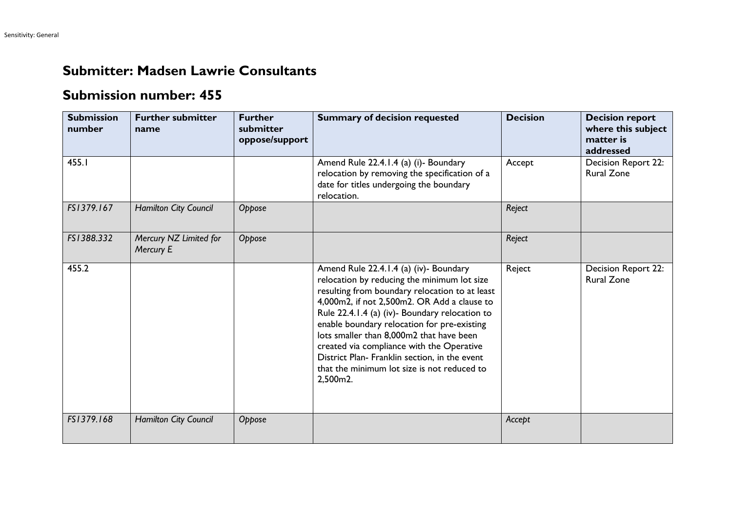## **Submitter: Madsen Lawrie Consultants**

## **Submission number: 455**

| <b>Submission</b><br>number | <b>Further submitter</b><br>name    | <b>Further</b><br>submitter<br>oppose/support | <b>Summary of decision requested</b>                                                                                                                                                                                                                                                                                                                                                                                                                                                         | <b>Decision</b> | <b>Decision report</b><br>where this subject<br>matter is<br>addressed |
|-----------------------------|-------------------------------------|-----------------------------------------------|----------------------------------------------------------------------------------------------------------------------------------------------------------------------------------------------------------------------------------------------------------------------------------------------------------------------------------------------------------------------------------------------------------------------------------------------------------------------------------------------|-----------------|------------------------------------------------------------------------|
| 455.I                       |                                     |                                               | Amend Rule 22.4.1.4 (a) (i)- Boundary<br>relocation by removing the specification of a<br>date for titles undergoing the boundary<br>relocation.                                                                                                                                                                                                                                                                                                                                             | Accept          | Decision Report 22:<br><b>Rural Zone</b>                               |
| FS1379.167                  | <b>Hamilton City Council</b>        | Oppose                                        |                                                                                                                                                                                                                                                                                                                                                                                                                                                                                              | Reject          |                                                                        |
| FS1388.332                  | Mercury NZ Limited for<br>Mercury E | Oppose                                        |                                                                                                                                                                                                                                                                                                                                                                                                                                                                                              | Reject          |                                                                        |
| 455.2                       |                                     |                                               | Amend Rule 22.4.1.4 (a) (iv)- Boundary<br>relocation by reducing the minimum lot size<br>resulting from boundary relocation to at least<br>4,000m2, if not 2,500m2. OR Add a clause to<br>Rule 22.4.1.4 (a) (iv)- Boundary relocation to<br>enable boundary relocation for pre-existing<br>lots smaller than 8,000m2 that have been<br>created via compliance with the Operative<br>District Plan- Franklin section, in the event<br>that the minimum lot size is not reduced to<br>2,500m2. | Reject          | Decision Report 22:<br><b>Rural Zone</b>                               |
| FS1379.168                  | Hamilton City Council               | Oppose                                        |                                                                                                                                                                                                                                                                                                                                                                                                                                                                                              | Accept          |                                                                        |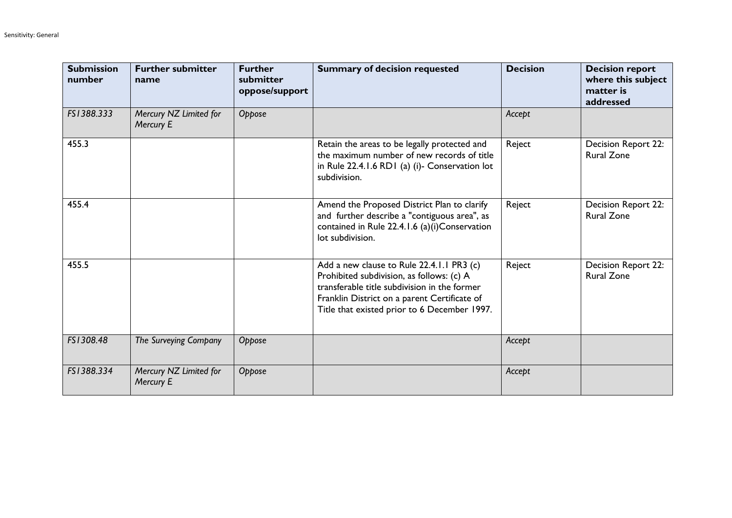| <b>Submission</b><br>number | <b>Further submitter</b><br>name    | <b>Further</b><br>submitter<br>oppose/support | <b>Summary of decision requested</b>                                                                                                                                                                                                   | <b>Decision</b> | <b>Decision report</b><br>where this subject<br>matter is<br>addressed |
|-----------------------------|-------------------------------------|-----------------------------------------------|----------------------------------------------------------------------------------------------------------------------------------------------------------------------------------------------------------------------------------------|-----------------|------------------------------------------------------------------------|
| FS1388.333                  | Mercury NZ Limited for<br>Mercury E | Oppose                                        |                                                                                                                                                                                                                                        | Accept          |                                                                        |
| 455.3                       |                                     |                                               | Retain the areas to be legally protected and<br>the maximum number of new records of title<br>in Rule 22.4.1.6 RD1 (a) (i)- Conservation lot<br>subdivision.                                                                           | Reject          | <b>Decision Report 22:</b><br><b>Rural Zone</b>                        |
| 455.4                       |                                     |                                               | Amend the Proposed District Plan to clarify<br>and further describe a "contiguous area", as<br>contained in Rule 22.4.1.6 (a)(i)Conservation<br>lot subdivision.                                                                       | Reject          | Decision Report 22:<br><b>Rural Zone</b>                               |
| 455.5                       |                                     |                                               | Add a new clause to Rule 22.4.1.1 PR3 (c)<br>Prohibited subdivision, as follows: (c) A<br>transferable title subdivision in the former<br>Franklin District on a parent Certificate of<br>Title that existed prior to 6 December 1997. | Reject          | <b>Decision Report 22:</b><br><b>Rural Zone</b>                        |
| FS1308.48                   | The Surveying Company               | Oppose                                        |                                                                                                                                                                                                                                        | Accept          |                                                                        |
| FS1388.334                  | Mercury NZ Limited for<br>Mercury E | Oppose                                        |                                                                                                                                                                                                                                        | Accept          |                                                                        |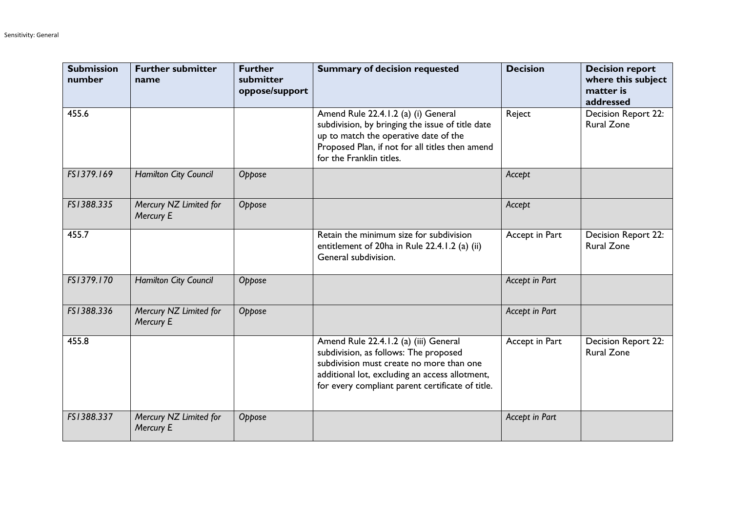| <b>Submission</b><br>number | <b>Further submitter</b><br>name    | <b>Further</b><br>submitter<br>oppose/support | <b>Summary of decision requested</b>                                                                                                                                                                                             | <b>Decision</b> | <b>Decision report</b><br>where this subject<br>matter is<br>addressed |
|-----------------------------|-------------------------------------|-----------------------------------------------|----------------------------------------------------------------------------------------------------------------------------------------------------------------------------------------------------------------------------------|-----------------|------------------------------------------------------------------------|
| 455.6                       |                                     |                                               | Amend Rule 22.4.1.2 (a) (i) General<br>subdivision, by bringing the issue of title date<br>up to match the operative date of the<br>Proposed Plan, if not for all titles then amend<br>for the Franklin titles.                  | Reject          | Decision Report 22:<br><b>Rural Zone</b>                               |
| FS1379.169                  | Hamilton City Council               | Oppose                                        |                                                                                                                                                                                                                                  | Accept          |                                                                        |
| FS1388.335                  | Mercury NZ Limited for<br>Mercury E | Oppose                                        |                                                                                                                                                                                                                                  | Accept          |                                                                        |
| 455.7                       |                                     |                                               | Retain the minimum size for subdivision<br>entitlement of 20ha in Rule 22.4.1.2 (a) (ii)<br>General subdivision.                                                                                                                 | Accept in Part  | Decision Report 22:<br><b>Rural Zone</b>                               |
| FS1379.170                  | Hamilton City Council               | Oppose                                        |                                                                                                                                                                                                                                  | Accept in Part  |                                                                        |
| FS1388.336                  | Mercury NZ Limited for<br>Mercury E | Oppose                                        |                                                                                                                                                                                                                                  | Accept in Part  |                                                                        |
| 455.8                       |                                     |                                               | Amend Rule 22.4.1.2 (a) (iii) General<br>subdivision, as follows: The proposed<br>subdivision must create no more than one<br>additional lot, excluding an access allotment,<br>for every compliant parent certificate of title. | Accept in Part  | Decision Report 22:<br><b>Rural Zone</b>                               |
| FS1388.337                  | Mercury NZ Limited for<br>Mercury E | Oppose                                        |                                                                                                                                                                                                                                  | Accept in Part  |                                                                        |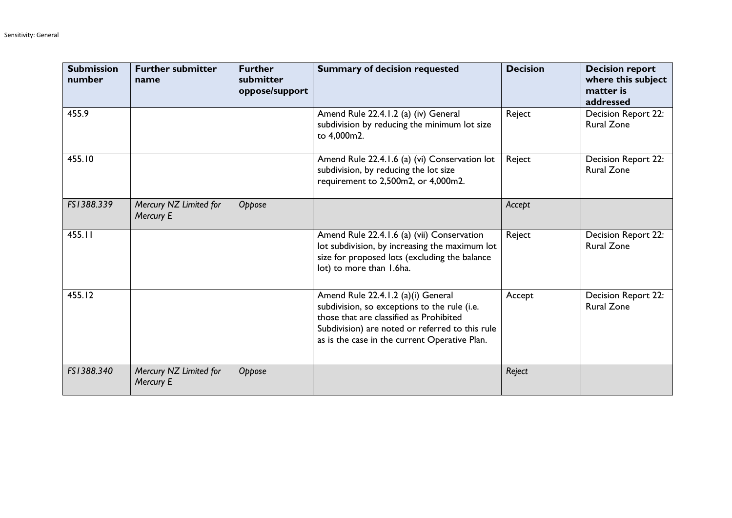| <b>Submission</b><br>number | <b>Further submitter</b><br>name    | <b>Further</b><br>submitter<br>oppose/support | <b>Summary of decision requested</b>                                                                                                                                                                                              | <b>Decision</b> | <b>Decision report</b><br>where this subject<br>matter is<br>addressed |
|-----------------------------|-------------------------------------|-----------------------------------------------|-----------------------------------------------------------------------------------------------------------------------------------------------------------------------------------------------------------------------------------|-----------------|------------------------------------------------------------------------|
| 455.9                       |                                     |                                               | Amend Rule 22.4.1.2 (a) (iv) General<br>subdivision by reducing the minimum lot size<br>to 4,000m2.                                                                                                                               | Reject          | Decision Report 22:<br><b>Rural Zone</b>                               |
| 455.10                      |                                     |                                               | Amend Rule 22.4.1.6 (a) (vi) Conservation lot<br>subdivision, by reducing the lot size<br>requirement to 2,500m2, or 4,000m2.                                                                                                     | Reject          | Decision Report 22:<br><b>Rural Zone</b>                               |
| FS1388.339                  | Mercury NZ Limited for<br>Mercury E | Oppose                                        |                                                                                                                                                                                                                                   | Accept          |                                                                        |
| 455.11                      |                                     |                                               | Amend Rule 22.4.1.6 (a) (vii) Conservation<br>lot subdivision, by increasing the maximum lot<br>size for proposed lots (excluding the balance<br>lot) to more than 1.6ha.                                                         | Reject          | Decision Report 22:<br><b>Rural Zone</b>                               |
| 455.12                      |                                     |                                               | Amend Rule 22.4.1.2 (a)(i) General<br>subdivision, so exceptions to the rule (i.e.<br>those that are classified as Prohibited<br>Subdivision) are noted or referred to this rule<br>as is the case in the current Operative Plan. | Accept          | <b>Decision Report 22:</b><br><b>Rural Zone</b>                        |
| FS1388.340                  | Mercury NZ Limited for<br>Mercury E | Oppose                                        |                                                                                                                                                                                                                                   | Reject          |                                                                        |